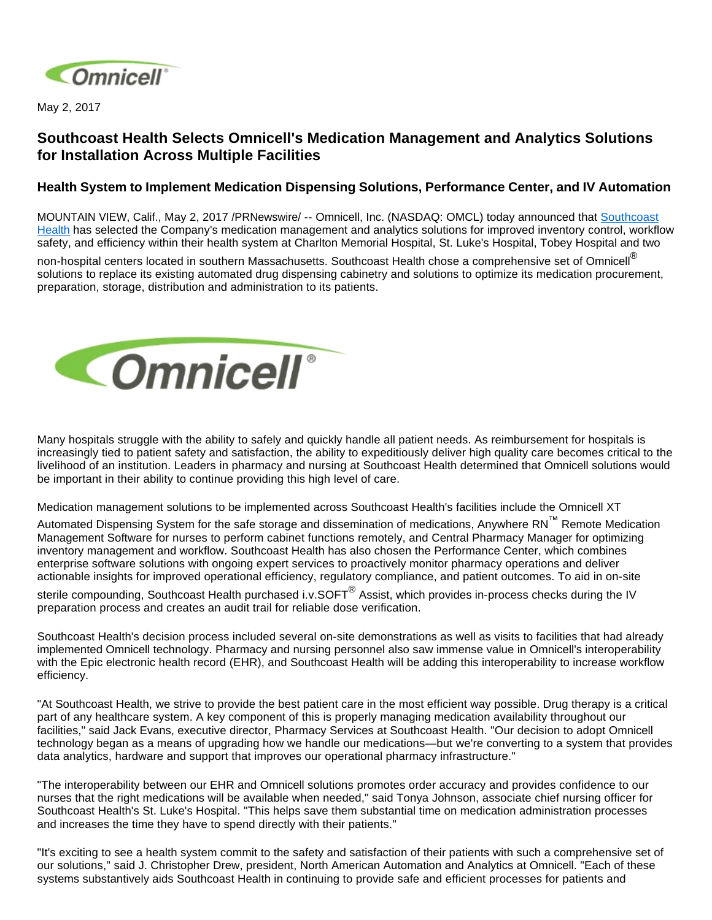

May 2, 2017

## **Southcoast Health Selects Omnicell's Medication Management and Analytics Solutions for Installation Across Multiple Facilities**

## **Health System to Implement Medication Dispensing Solutions, Performance Center, and IV Automation**

MOUNTAIN VIEW, Calif., May 2, 2017 /PRNewswire/ -- Omnicell, Inc. (NASDAQ: OMCL) today announced that [Southcoast](https://www.southcoast.org/)  [Health](https://www.southcoast.org/) has selected the Company's medication management and analytics solutions for improved inventory control, workflow safety, and efficiency within their health system at Charlton Memorial Hospital, St. Luke's Hospital, Tobey Hospital and two

non-hospital centers located in southern Massachusetts. Southcoast Health chose a comprehensive set of Omnicell® solutions to replace its existing automated drug dispensing cabinetry and solutions to optimize its medication procurement, preparation, storage, distribution and administration to its patients.



Many hospitals struggle with the ability to safely and quickly handle all patient needs. As reimbursement for hospitals is increasingly tied to patient safety and satisfaction, the ability to expeditiously deliver high quality care becomes critical to the livelihood of an institution. Leaders in pharmacy and nursing at Southcoast Health determined that Omnicell solutions would be important in their ability to continue providing this high level of care.

Medication management solutions to be implemented across Southcoast Health's facilities include the Omnicell XT

Automated Dispensing System for the safe storage and dissemination of medications, Anywhere RN™ Remote Medication Management Software for nurses to perform cabinet functions remotely, and Central Pharmacy Manager for optimizing inventory management and workflow. Southcoast Health has also chosen the Performance Center, which combines enterprise software solutions with ongoing expert services to proactively monitor pharmacy operations and deliver actionable insights for improved operational efficiency, regulatory compliance, and patient outcomes. To aid in on-site

sterile compounding, Southcoast Health purchased i.v.SOFT<sup>®</sup> Assist, which provides in-process checks during the IV preparation process and creates an audit trail for reliable dose verification.

Southcoast Health's decision process included several on-site demonstrations as well as visits to facilities that had already implemented Omnicell technology. Pharmacy and nursing personnel also saw immense value in Omnicell's interoperability with the Epic electronic health record (EHR), and Southcoast Health will be adding this interoperability to increase workflow efficiency.

"At Southcoast Health, we strive to provide the best patient care in the most efficient way possible. Drug therapy is a critical part of any healthcare system. A key component of this is properly managing medication availability throughout our facilities," said Jack Evans, executive director, Pharmacy Services at Southcoast Health. "Our decision to adopt Omnicell technology began as a means of upgrading how we handle our medications—but we're converting to a system that provides data analytics, hardware and support that improves our operational pharmacy infrastructure."

"The interoperability between our EHR and Omnicell solutions promotes order accuracy and provides confidence to our nurses that the right medications will be available when needed," said Tonya Johnson, associate chief nursing officer for Southcoast Health's St. Luke's Hospital. "This helps save them substantial time on medication administration processes and increases the time they have to spend directly with their patients."

"It's exciting to see a health system commit to the safety and satisfaction of their patients with such a comprehensive set of our solutions," said J. Christopher Drew, president, North American Automation and Analytics at Omnicell. "Each of these systems substantively aids Southcoast Health in continuing to provide safe and efficient processes for patients and